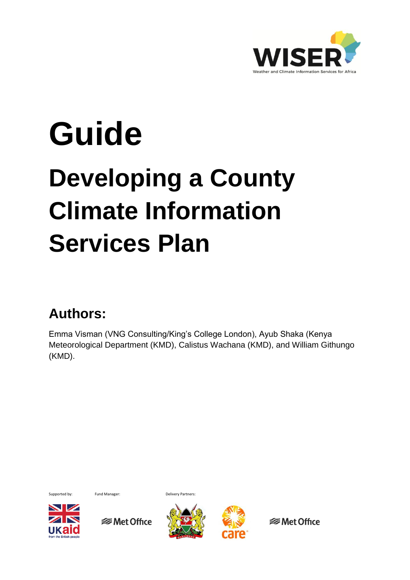

# **Guide**

## **Developing a County Climate Information Services Plan**

## **Authors:**

Emma Visman (VNG Consulting/King's College London), Ayub Shaka (Kenya Meteorological Department (KMD), Calistus Wachana (KMD), and William Githungo (KMD).



 $\sim$  1





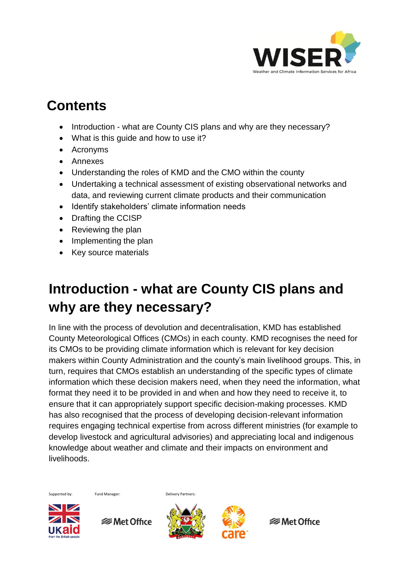

## **Contents**

- Introduction what are County CIS plans and why are they necessary?
- What is this guide and how to use it?
- Acronyms
- Annexes
- Understanding the roles of KMD and the CMO within the county
- Undertaking a technical assessment of existing observational networks and data, and reviewing current climate products and their communication
- Identify stakeholders' climate information needs
- Drafting the CCISP
- Reviewing the plan
- Implementing the plan
- Key source materials

## **Introduction - what are County CIS plans and why are they necessary?**

In line with the process of devolution and decentralisation, KMD has established County Meteorological Offices (CMOs) in each county. KMD recognises the need for its CMOs to be providing climate information which is relevant for key decision makers within County Administration and the county's main livelihood groups. This, in turn, requires that CMOs establish an understanding of the specific types of climate information which these decision makers need, when they need the information, what format they need it to be provided in and when and how they need to receive it, to ensure that it can appropriately support specific decision-making processes. KMD has also recognised that the process of developing decision-relevant information requires engaging technical expertise from across different ministries (for example to develop livestock and agricultural advisories) and appreciating local and indigenous knowledge about weather and climate and their impacts on environment and **livelihoods** 

Supported by: Fund Manager: Delivery Partners:

 $\blacksquare$ 

**<del></del>** Met Office



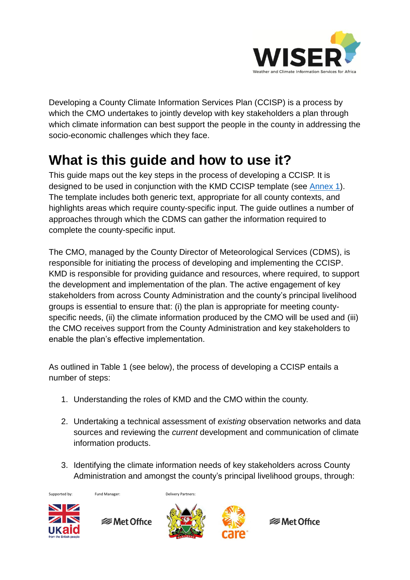

Developing a County Climate Information Services Plan (CCISP) is a process by which the CMO undertakes to jointly develop with key stakeholders a plan through which climate information can best support the people in the county in addressing the socio-economic challenges which they face.

## **What is this guide and how to use it?**

This guide maps out the key steps in the process of developing a CCISP. It is designed to be used in conjunction with the KMD CCISP template (see [Annex 1\)](http://www.metoffice.gov.uk/binaries/content/assets/mohippo/pdf/international/wiser/annex1_content-for-a-county-cis-plan.pdf). The template includes both generic text, appropriate for all county contexts, and highlights areas which require county-specific input. The guide outlines a number of approaches through which the CDMS can gather the information required to complete the county-specific input.

The CMO, managed by the County Director of Meteorological Services (CDMS), is responsible for initiating the process of developing and implementing the CCISP. KMD is responsible for providing guidance and resources, where required, to support the development and implementation of the plan. The active engagement of key stakeholders from across County Administration and the county's principal livelihood groups is essential to ensure that: (i) the plan is appropriate for meeting countyspecific needs, (ii) the climate information produced by the CMO will be used and (iii) the CMO receives support from the County Administration and key stakeholders to enable the plan's effective implementation.

As outlined in Table 1 (see below), the process of developing a CCISP entails a number of steps:

- 1. Understanding the roles of KMD and the CMO within the county.
- 2. Undertaking a technical assessment of *existing* observation networks and data sources and reviewing the *current* development and communication of climate information products.
- 3. Identifying the climate information needs of key stakeholders across County Administration and amongst the county's principal livelihood groups, through:



Supported by: Fund Manager: Delivery Partners:





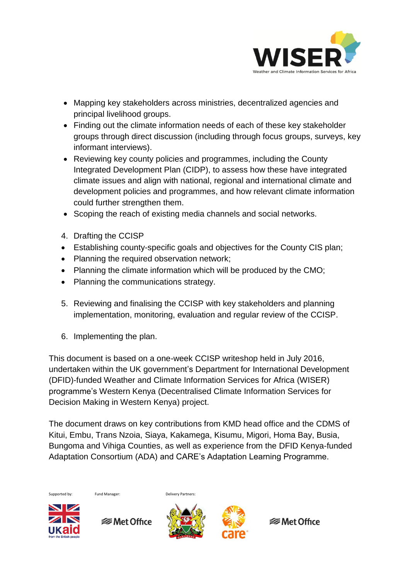

- Mapping key stakeholders across ministries, decentralized agencies and principal livelihood groups.
- Finding out the climate information needs of each of these key stakeholder groups through direct discussion (including through focus groups, surveys, key informant interviews).
- Reviewing key county policies and programmes, including the County Integrated Development Plan (CIDP), to assess how these have integrated climate issues and align with national, regional and international climate and development policies and programmes, and how relevant climate information could further strengthen them.
- Scoping the reach of existing media channels and social networks.
- 4. Drafting the CCISP
- Establishing county-specific goals and objectives for the County CIS plan;
- Planning the required observation network;
- Planning the climate information which will be produced by the CMO;
- Planning the communications strategy.
- 5. Reviewing and finalising the CCISP with key stakeholders and planning implementation, monitoring, evaluation and regular review of the CCISP.
- 6. Implementing the plan.

This document is based on a one-week CCISP writeshop held in July 2016, undertaken within the UK government's Department for International Development (DFID)-funded Weather and Climate Information Services for Africa (WISER) programme's Western Kenya (Decentralised Climate Information Services for Decision Making in Western Kenya) project.

The document draws on key contributions from KMD head office and the CDMS of Kitui, Embu, Trans Nzoia, Siaya, Kakamega, Kisumu, Migori, Homa Bay, Busia, Bungoma and Vihiga Counties, as well as experience from the DFID Kenya-funded Adaptation Consortium (ADA) and CARE's Adaptation Learning Programme.





**<del></del>** Met Office



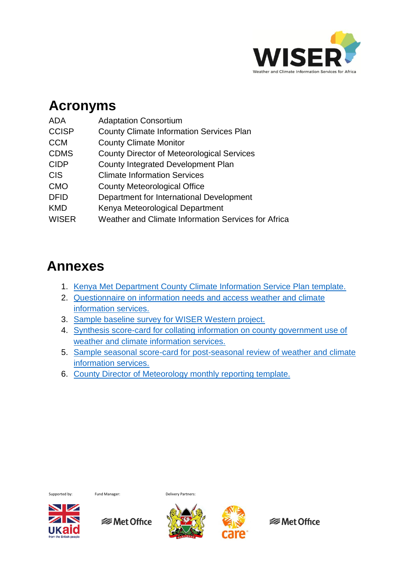

## **Acronyms**

| <b>ADA</b>   | <b>Adaptation Consortium</b>                        |
|--------------|-----------------------------------------------------|
| <b>CCISP</b> | <b>County Climate Information Services Plan</b>     |
| <b>CCM</b>   | <b>County Climate Monitor</b>                       |
| <b>CDMS</b>  | <b>County Director of Meteorological Services</b>   |
| <b>CIDP</b>  | County Integrated Development Plan                  |
| <b>CIS</b>   | <b>Climate Information Services</b>                 |
| <b>CMO</b>   | <b>County Meteorological Office</b>                 |
| <b>DFID</b>  | Department for International Development            |
| <b>KMD</b>   | Kenya Meteorological Department                     |
| <b>WISER</b> | Weather and Climate Information Services for Africa |

### **Annexes**

- 1. [Kenya Met Department County Climate Information Service Plan template.](http://www.metoffice.gov.uk/binaries/content/assets/mohippo/pdf/international/wiser/annex1_content-for-a-county-cis-plan.pdf)
- 2. [Questionnaire on information needs and access weather and climate](http://www.metoffice.gov.uk/binaries/content/assets/mohippo/pdf/international/wiser/annex2_sample-needs--access-questions.pdf)  [information services.](http://www.metoffice.gov.uk/binaries/content/assets/mohippo/pdf/international/wiser/annex2_sample-needs--access-questions.pdf)
- 3. [Sample baseline survey for WISER Western project.](http://www.metoffice.gov.uk/binaries/content/assets/mohippo/pdf/international/wiser/annex3_sample-baseline-survey.pdf)
- 4. [Synthesis score-card for collating information on county government use of](http://www.metoffice.gov.uk/binaries/content/assets/mohippo/pdf/international/wiser/annex4_sample-score-card_enabling-climate-info.pdf)  [weather and climate information services.](http://www.metoffice.gov.uk/binaries/content/assets/mohippo/pdf/international/wiser/annex4_sample-score-card_enabling-climate-info.pdf)
- 5. [Sample seasonal score-card for post-seasonal review of weather and climate](http://www.metoffice.gov.uk/binaries/content/assets/mohippo/pdf/international/wiser/annex5_sample-seasonal-score-card.pdf)  [information services.](http://www.metoffice.gov.uk/binaries/content/assets/mohippo/pdf/international/wiser/annex5_sample-seasonal-score-card.pdf)
- 6. [County Director of Meteorology monthly reporting template.](http://www.metoffice.gov.uk/binaries/content/assets/mohippo/pdf/international/wiser/annex6_cdm-monthly-report-template.pdf)



Supported by: Fund Manager: Delivery Partners:

 $\blacksquare$ 

*<del></del>* Met Office



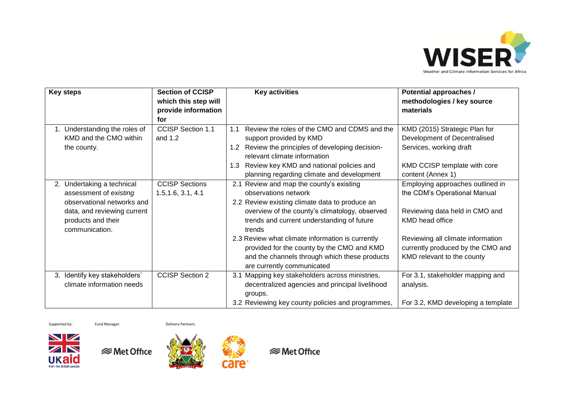

| <b>Key steps</b>                                                                   | <b>Section of CCISP</b><br>which this step will<br>provide information | <b>Key activities</b>                                                                                                                                                                                                                  | <b>Potential approaches /</b><br>methodologies / key source<br>materials                                                 |
|------------------------------------------------------------------------------------|------------------------------------------------------------------------|----------------------------------------------------------------------------------------------------------------------------------------------------------------------------------------------------------------------------------------|--------------------------------------------------------------------------------------------------------------------------|
|                                                                                    | for                                                                    |                                                                                                                                                                                                                                        |                                                                                                                          |
| 1. Understanding the roles of<br>KMD and the CMO within<br>the county.             | <b>CCISP Section 1.1</b><br>and $1.2$                                  | Review the roles of the CMO and CDMS and the<br>1.1<br>support provided by KMD<br>Review the principles of developing decision-<br>1.2 <sub>1</sub><br>relevant climate information<br>Review key KMD and national policies and<br>1.3 | KMD (2015) Strategic Plan for<br>Development of Decentralised<br>Services, working draft<br>KMD CCISP template with core |
|                                                                                    |                                                                        | planning regarding climate and development                                                                                                                                                                                             | content (Annex 1)                                                                                                        |
| 2. Undertaking a technical<br>assessment of existing<br>observational networks and | <b>CCISP Sections</b><br>1.5, 1.6, 3.1, 4.1                            | Review and map the county's existing<br>2.1<br>observations network<br>2.2 Review existing climate data to produce an                                                                                                                  | Employing approaches outlined in<br>the CDM's Operational Manual                                                         |
| data, and reviewing current<br>products and their<br>communication.                |                                                                        | overview of the county's climatology, observed<br>trends and current understanding of future<br>trends                                                                                                                                 | Reviewing data held in CMO and<br>KMD head office                                                                        |
|                                                                                    |                                                                        | 2.3 Review what climate information is currently<br>provided for the county by the CMO and KMD<br>and the channels through which these products<br>are currently communicated                                                          | Reviewing all climate information<br>currently produced by the CMO and<br>KMD relevant to the county                     |
| 3. Identify key stakeholders'<br>climate information needs                         | <b>CCISP Section 2</b>                                                 | Mapping key stakeholders across ministries,<br>3.1<br>decentralized agencies and principal livelihood<br>groups.                                                                                                                       | For 3.1, stakeholder mapping and<br>analysis.                                                                            |
|                                                                                    |                                                                        | 3.2 Reviewing key county policies and programmes,                                                                                                                                                                                      | For 3.2, KMD developing a template                                                                                       |

Supported by: Fund Manager: Delivery Partners:







care<sup>®</sup>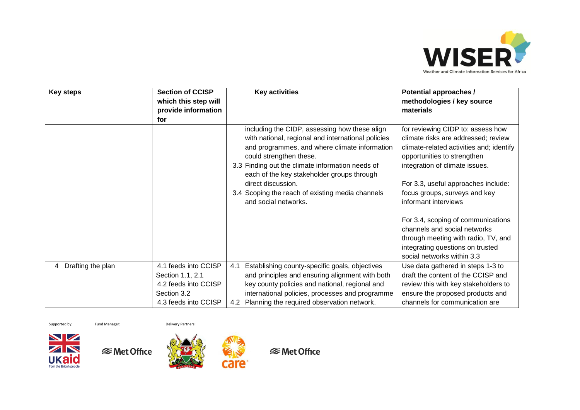

| <b>Key steps</b>       | <b>Section of CCISP</b><br>which this step will<br>provide information<br>for                           | <b>Key activities</b>                                                                                                                                                                                                                                                                                                                                                               | <b>Potential approaches /</b><br>methodologies / key source<br>materials                                                                                                                                                                                                                                                                                                                                                                                             |
|------------------------|---------------------------------------------------------------------------------------------------------|-------------------------------------------------------------------------------------------------------------------------------------------------------------------------------------------------------------------------------------------------------------------------------------------------------------------------------------------------------------------------------------|----------------------------------------------------------------------------------------------------------------------------------------------------------------------------------------------------------------------------------------------------------------------------------------------------------------------------------------------------------------------------------------------------------------------------------------------------------------------|
|                        |                                                                                                         | including the CIDP, assessing how these align<br>with national, regional and international policies<br>and programmes, and where climate information<br>could strengthen these.<br>3.3 Finding out the climate information needs of<br>each of the key stakeholder groups through<br>direct discussion.<br>3.4 Scoping the reach of existing media channels<br>and social networks. | for reviewing CIDP to: assess how<br>climate risks are addressed; review<br>climate-related activities and; identify<br>opportunities to strengthen<br>integration of climate issues.<br>For 3.3, useful approaches include:<br>focus groups, surveys and key<br>informant interviews<br>For 3.4, scoping of communications<br>channels and social networks<br>through meeting with radio, TV, and<br>integrating questions on trusted<br>social networks within 3.3 |
| Drafting the plan<br>4 | 4.1 feeds into CCISP<br>Section 1.1, 2.1<br>4.2 feeds into CCISP<br>Section 3.2<br>4.3 feeds into CCISP | Establishing county-specific goals, objectives<br>4.1<br>and principles and ensuring alignment with both<br>key county policies and national, regional and<br>international policies, processes and programme<br>4.2 Planning the required observation network.                                                                                                                     | Use data gathered in steps 1-3 to<br>draft the content of the CCISP and<br>review this with key stakeholders to<br>ensure the proposed products and<br>channels for communication are                                                                                                                                                                                                                                                                                |

Supported by: Fund Manager: Delivery Partners:





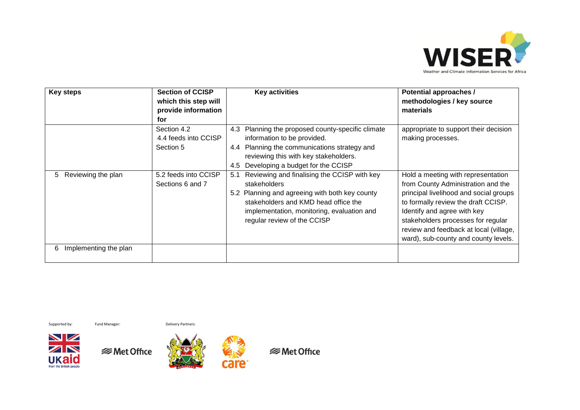

| <b>Key steps</b>            | <b>Section of CCISP</b><br>which this step will<br>provide information<br>for | <b>Key activities</b>                                                                                                                                                                                                                     | Potential approaches /<br>methodologies / key source<br>materials                                                                                                                                                                                                                                                |
|-----------------------------|-------------------------------------------------------------------------------|-------------------------------------------------------------------------------------------------------------------------------------------------------------------------------------------------------------------------------------------|------------------------------------------------------------------------------------------------------------------------------------------------------------------------------------------------------------------------------------------------------------------------------------------------------------------|
|                             | Section 4.2<br>4.4 feeds into CCISP<br>Section 5                              | Planning the proposed county-specific climate<br>4.3<br>information to be provided.<br>Planning the communications strategy and<br>4.4<br>reviewing this with key stakeholders.<br>Developing a budget for the CCISP<br>4.5               | appropriate to support their decision<br>making processes.                                                                                                                                                                                                                                                       |
| Reviewing the plan<br>5.    | 5.2 feeds into CCISP<br>Sections 6 and 7                                      | Reviewing and finalising the CCISP with key<br>5.1<br>stakeholders<br>5.2 Planning and agreeing with both key county<br>stakeholders and KMD head office the<br>implementation, monitoring, evaluation and<br>regular review of the CCISP | Hold a meeting with representation<br>from County Administration and the<br>principal livelihood and social groups<br>to formally review the draft CCISP.<br>Identify and agree with key<br>stakeholders processes for regular<br>review and feedback at local (village,<br>ward), sub-county and county levels. |
| Implementing the plan<br>6. |                                                                               |                                                                                                                                                                                                                                           |                                                                                                                                                                                                                                                                                                                  |

Supported by: Fund Manager: Delivery Partners:









care<sup>®</sup>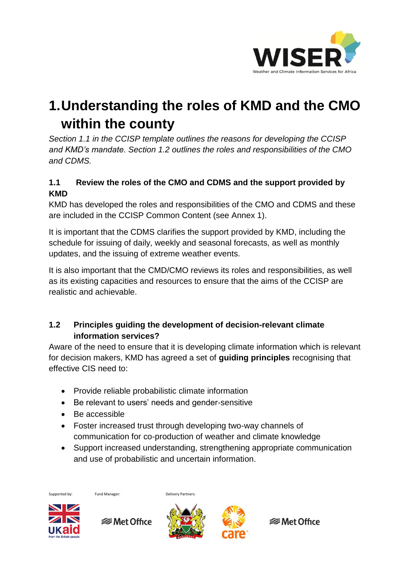

## **1.Understanding the roles of KMD and the CMO within the county**

*Section 1.1 in the CCISP template outlines the reasons for developing the CCISP and KMD's mandate. Section 1.2 outlines the roles and responsibilities of the CMO and CDMS.*

#### **1.1 Review the roles of the CMO and CDMS and the support provided by KMD**

KMD has developed the roles and responsibilities of the CMO and CDMS and these are included in the CCISP Common Content (see Annex 1).

It is important that the CDMS clarifies the support provided by KMD, including the schedule for issuing of daily, weekly and seasonal forecasts, as well as monthly updates, and the issuing of extreme weather events.

It is also important that the CMD/CMO reviews its roles and responsibilities, as well as its existing capacities and resources to ensure that the aims of the CCISP are realistic and achievable.

#### **1.2 Principles guiding the development of decision-relevant climate information services?**

Aware of the need to ensure that it is developing climate information which is relevant for decision makers, KMD has agreed a set of **guiding principles** recognising that effective CIS need to:

- Provide reliable probabilistic climate information
- Be relevant to users' needs and gender-sensitive
- Be accessible
- Foster increased trust through developing two-way channels of communication for co-production of weather and climate knowledge
- Support increased understanding, strengthening appropriate communication and use of probabilistic and uncertain information.

Supported by: Fund Manager: Delivery Partners:



**<del></del>** Met Office



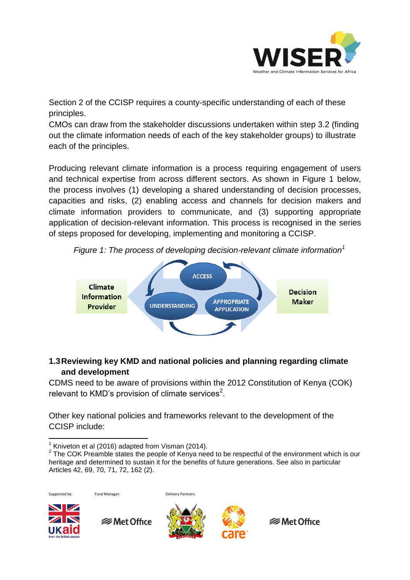

Section 2 of the CCISP requires a county-specific understanding of each of these principles.

CMOs can draw from the stakeholder discussions undertaken within step 3.2 (finding out the climate information needs of each of the key stakeholder groups) to illustrate each of the principles.

Producing relevant climate information is a process requiring engagement of users and technical expertise from across different sectors. As shown in Figure 1 below, the process involves (1) developing a shared understanding of decision processes, capacities and risks, (2) enabling access and channels for decision makers and climate information providers to communicate, and (3) supporting appropriate application of decision-relevant information. This process is recognised in the series of steps proposed for developing, implementing and monitoring a CCISP.

*Figure 1: The process of developing decision-relevant climate information<sup>1</sup>*



#### **1.3Reviewing key KMD and national policies and planning regarding climate and development**

CDMS need to be aware of provisions within the 2012 Constitution of Kenya (COK) relevant to KMD's provision of climate services<sup>2</sup>.

Other key national policies and frameworks relevant to the development of the CCISP include:

**<del></del>** Met Office

 $2$  The COK Preamble states the people of Kenya need to be respectful of the environment which is our heritage and determined to sustain it for the benefits of future generations. See also in particular Articles 42, 69, 70, 71, 72, 162 (2).



Supported by: Fund Manager: Delivery Partners:





 $\overline{\phantom{a}}$ <sup>1</sup> Kniveton et al (2016) adapted from Visman (2014).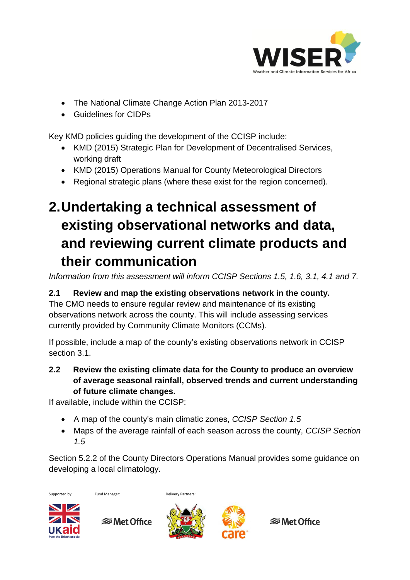

- The National Climate Change Action Plan 2013-2017
- Guidelines for CIDPs

Key KMD policies guiding the development of the CCISP include:

- KMD (2015) Strategic Plan for Development of Decentralised Services, working draft
- KMD (2015) Operations Manual for County Meteorological Directors
- Regional strategic plans (where these exist for the region concerned).

## **2.Undertaking a technical assessment of existing observational networks and data, and reviewing current climate products and their communication**

*Information from this assessment will inform CCISP Sections 1.5, 1.6, 3.1, 4.1 and 7.*

#### **2.1 Review and map the existing observations network in the county.**

The CMO needs to ensure regular review and maintenance of its existing observations network across the county. This will include assessing services currently provided by Community Climate Monitors (CCMs).

If possible, include a map of the county's existing observations network in CCISP section 3.1.

**2.2 Review the existing climate data for the County to produce an overview of average seasonal rainfall, observed trends and current understanding of future climate changes.** 

If available, include within the CCISP:

- A map of the county's main climatic zones, *CCISP Section 1.5*
- Maps of the average rainfall of each season across the county, *CCISP Section 1.5*

Section 5.2.2 of the County Directors Operations Manual provides some guidance on developing a local climatology.



Supported by: Fund Manager: Delivery Partners:





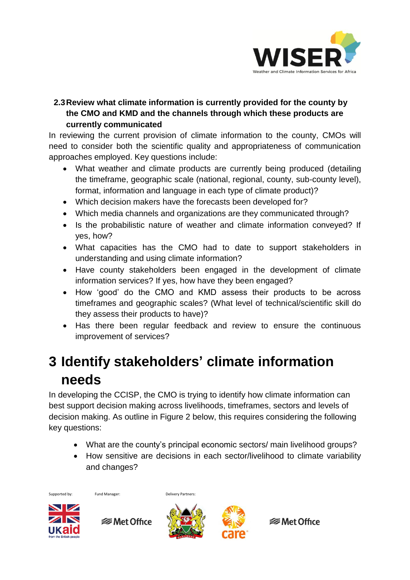

#### **2.3Review what climate information is currently provided for the county by the CMO and KMD and the channels through which these products are currently communicated**

In reviewing the current provision of climate information to the county, CMOs will need to consider both the scientific quality and appropriateness of communication approaches employed. Key questions include:

- What weather and climate products are currently being produced (detailing the timeframe, geographic scale (national, regional, county, sub-county level), format, information and language in each type of climate product)?
- Which decision makers have the forecasts been developed for?
- Which media channels and organizations are they communicated through?
- Is the probabilistic nature of weather and climate information conveyed? If yes, how?
- What capacities has the CMO had to date to support stakeholders in understanding and using climate information?
- Have county stakeholders been engaged in the development of climate information services? If yes, how have they been engaged?
- How 'good' do the CMO and KMD assess their products to be across timeframes and geographic scales? (What level of technical/scientific skill do they assess their products to have)?
- Has there been regular feedback and review to ensure the continuous improvement of services?

## **3 Identify stakeholders' climate information needs**

In developing the CCISP, the CMO is trying to identify how climate information can best support decision making across livelihoods, timeframes, sectors and levels of decision making. As outline in Figure 2 below, this requires considering the following key questions:

- What are the county's principal economic sectors/ main livelihood groups?
- How sensitive are decisions in each sector/livelihood to climate variability and changes?

Supported by: Fund Manager: Delivery Partners:

 $\blacksquare$ 

**<del></del>** Met Office



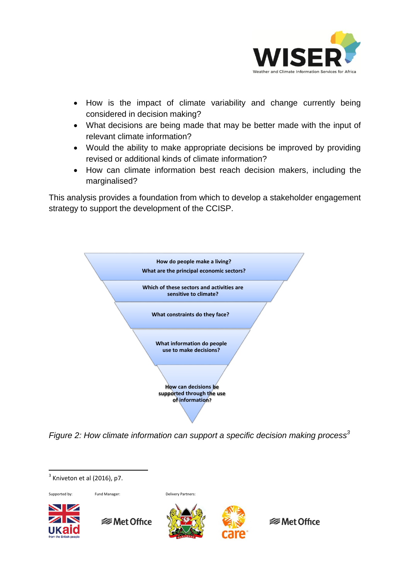

- How is the impact of climate variability and change currently being considered in decision making?
- What decisions are being made that may be better made with the input of relevant climate information?
- Would the ability to make appropriate decisions be improved by providing revised or additional kinds of climate information?
- How can climate information best reach decision makers, including the marginalised?

This analysis provides a foundation from which to develop a stakeholder engagement strategy to support the development of the CCISP.



*Figure 2: How climate information can support a specific decision making process<sup>3</sup>*

 $\overline{\phantom{a}}$ 

 $3$  Kniveton et al (2016), p7. Supported by: Fund Manager: Delivery Partners:  $\blacksquare$ **<del></del>** Met Office **<del></del>** Met Office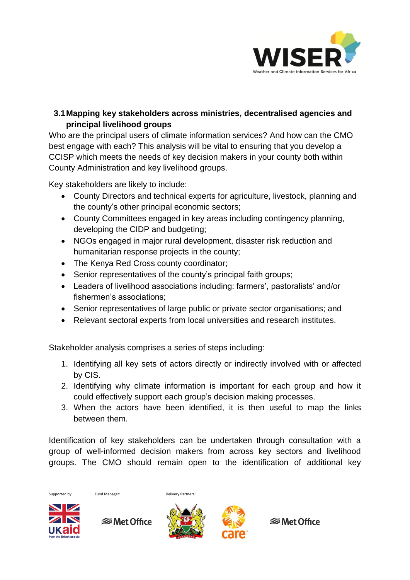

#### **3.1Mapping key stakeholders across ministries, decentralised agencies and principal livelihood groups**

Who are the principal users of climate information services? And how can the CMO best engage with each? This analysis will be vital to ensuring that you develop a CCISP which meets the needs of key decision makers in your county both within County Administration and key livelihood groups.

Key stakeholders are likely to include:

- County Directors and technical experts for agriculture, livestock, planning and the county's other principal economic sectors;
- County Committees engaged in key areas including contingency planning, developing the CIDP and budgeting;
- NGOs engaged in major rural development, disaster risk reduction and humanitarian response projects in the county;
- The Kenya Red Cross county coordinator;
- Senior representatives of the county's principal faith groups;
- Leaders of livelihood associations including: farmers', pastoralists' and/or fishermen's associations;
- Senior representatives of large public or private sector organisations; and
- Relevant sectoral experts from local universities and research institutes.

Stakeholder analysis comprises a series of steps including:

- 1. Identifying all key sets of actors directly or indirectly involved with or affected by CIS.
- 2. Identifying why climate information is important for each group and how it could effectively support each group's decision making processes.
- 3. When the actors have been identified, it is then useful to map the links between them.

Identification of key stakeholders can be undertaken through consultation with a group of well-informed decision makers from across key sectors and livelihood groups. The CMO should remain open to the identification of additional key



Supported by: Fund Manager: Delivery Partners:

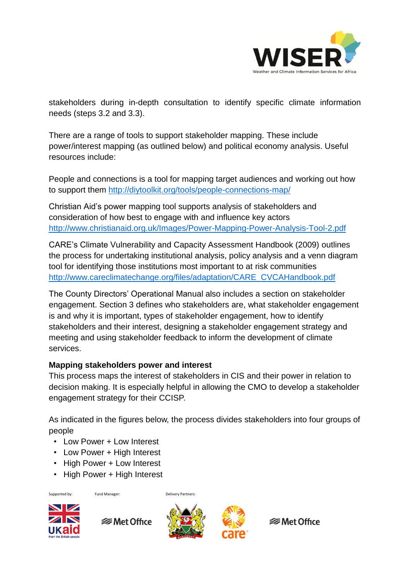

stakeholders during in-depth consultation to identify specific climate information needs (steps 3.2 and 3.3).

There are a range of tools to support stakeholder mapping. These include power/interest mapping (as outlined below) and political economy analysis. Useful resources include:

People and connections is a tool for mapping target audiences and working out how to support them <http://diytoolkit.org/tools/people-connections-map/>

Christian Aid's power mapping tool supports analysis of stakeholders and consideration of how best to engage with and influence key actors <http://www.christianaid.org.uk/Images/Power-Mapping-Power-Analysis-Tool-2.pdf>

CARE's Climate Vulnerability and Capacity Assessment Handbook (2009) outlines the process for undertaking institutional analysis, policy analysis and a venn diagram tool for identifying those institutions most important to at risk communities [http://www.careclimatechange.org/files/adaptation/CARE\\_CVCAHandbook.pdf](http://www.careclimatechange.org/files/adaptation/CARE_CVCAHandbook.pdf)

The County Directors' Operational Manual also includes a section on stakeholder engagement. Section 3 defines who stakeholders are, what stakeholder engagement is and why it is important, types of stakeholder engagement, how to identify stakeholders and their interest, designing a stakeholder engagement strategy and meeting and using stakeholder feedback to inform the development of climate services.

#### **Mapping stakeholders power and interest**

This process maps the interest of stakeholders in CIS and their power in relation to decision making. It is especially helpful in allowing the CMO to develop a stakeholder engagement strategy for their CCISP.

As indicated in the figures below, the process divides stakeholders into four groups of people

- Low Power + Low Interest
- Low Power + High Interest
- High Power + Low Interest
- High Power + High Interest

Supported by: Fund Manager: Delivery Partners:



**<del></del>** Met Office



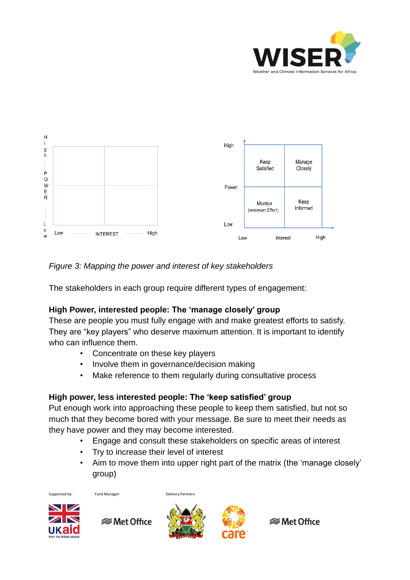



*Figure 3: Mapping the power and interest of key stakeholders*

The stakeholders in each group require different types of engagement:

#### **High Power, interested people: The 'manage closely' group**

These are people you must fully engage with and make greatest efforts to satisfy. They are "key players" who deserve maximum attention. It is important to identify who can influence them.

- Concentrate on these key players
- Involve them in governance/decision making
- Make reference to them regularly during consultative process

#### **High power, less interested people: The 'keep satisfied' group**

Put enough work into approaching these people to keep them satisfied, but not so much that they become bored with your message. Be sure to meet their needs as they have power and they may become interested.

- Engage and consult these stakeholders on specific areas of interest
- Try to increase their level of interest
- Aim to move them into upper right part of the matrix (the 'manage closely' group)

Supported by: Fund Manager: Delivery Partners:



**<del></del>** Met Office



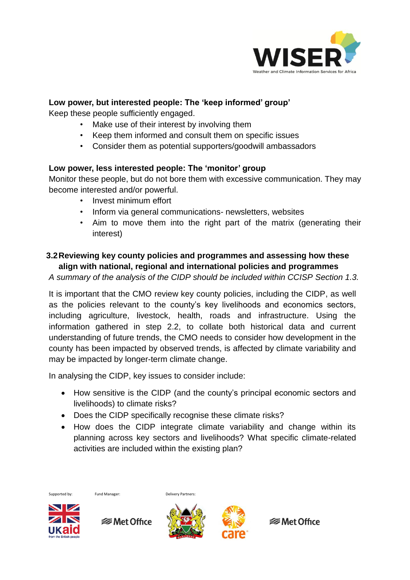

#### **Low power, but interested people: The 'keep informed' group'**

Keep these people sufficiently engaged.

- Make use of their interest by involving them
- Keep them informed and consult them on specific issues
- Consider them as potential supporters/goodwill ambassadors

#### **Low power, less interested people: The 'monitor' group**

Monitor these people, but do not bore them with excessive communication. They may become interested and/or powerful.

- Invest minimum effort
- Inform via general communications- newsletters, websites
- Aim to move them into the right part of the matrix (generating their interest)

#### **3.2Reviewing key county policies and programmes and assessing how these align with national, regional and international policies and programmes**

*A summary of the analysis of the CIDP should be included within CCISP Section 1.3.*

It is important that the CMO review key county policies, including the CIDP, as well as the policies relevant to the county's key livelihoods and economics sectors, including agriculture, livestock, health, roads and infrastructure. Using the information gathered in step 2.2, to collate both historical data and current understanding of future trends, the CMO needs to consider how development in the county has been impacted by observed trends, is affected by climate variability and may be impacted by longer-term climate change.

In analysing the CIDP, key issues to consider include:

- How sensitive is the CIDP (and the county's principal economic sectors and livelihoods) to climate risks?
- Does the CIDP specifically recognise these climate risks?
- How does the CIDP integrate climate variability and change within its planning across key sectors and livelihoods? What specific climate-related activities are included within the existing plan?



Supported by: Fund Manager: Delivery Partners:

**<del></del>** Met Office

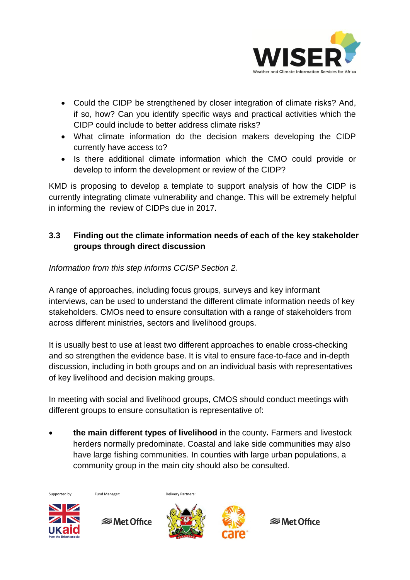

- Could the CIDP be strengthened by closer integration of climate risks? And, if so, how? Can you identify specific ways and practical activities which the CIDP could include to better address climate risks?
- What climate information do the decision makers developing the CIDP currently have access to?
- Is there additional climate information which the CMO could provide or develop to inform the development or review of the CIDP?

KMD is proposing to develop a template to support analysis of how the CIDP is currently integrating climate vulnerability and change. This will be extremely helpful in informing the review of CIDPs due in 2017.

#### **3.3 Finding out the climate information needs of each of the key stakeholder groups through direct discussion**

*Information from this step informs CCISP Section 2.*

A range of approaches, including focus groups, surveys and key informant interviews, can be used to understand the different climate information needs of key stakeholders. CMOs need to ensure consultation with a range of stakeholders from across different ministries, sectors and livelihood groups.

It is usually best to use at least two different approaches to enable cross-checking and so strengthen the evidence base. It is vital to ensure face-to-face and in-depth discussion, including in both groups and on an individual basis with representatives of key livelihood and decision making groups.

In meeting with social and livelihood groups, CMOS should conduct meetings with different groups to ensure consultation is representative of:

 **the main different types of livelihood** in the county**.** Farmers and livestock herders normally predominate. Coastal and lake side communities may also have large fishing communities. In counties with large urban populations, a community group in the main city should also be consulted.





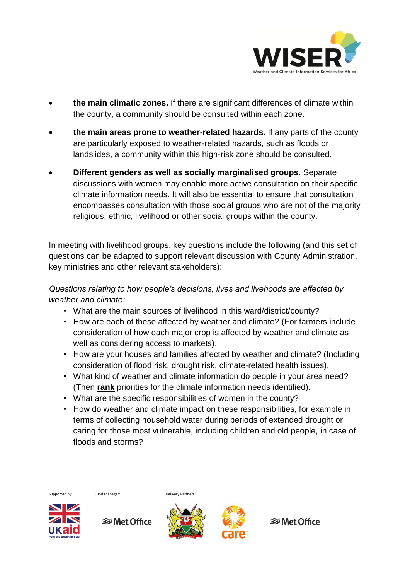

- **the main climatic zones.** If there are significant differences of climate within the county, a community should be consulted within each zone.
- **the main areas prone to weather-related hazards.** If any parts of the county are particularly exposed to weather-related hazards, such as floods or landslides, a community within this high-risk zone should be consulted.
- **Different genders as well as socially marginalised groups.** Separate discussions with women may enable more active consultation on their specific climate information needs. It will also be essential to ensure that consultation encompasses consultation with those social groups who are not of the majority religious, ethnic, livelihood or other social groups within the county.

In meeting with livelihood groups, key questions include the following (and this set of questions can be adapted to support relevant discussion with County Administration, key ministries and other relevant stakeholders):

*Questions relating to how people's decisions, lives and livehoods are affected by weather and climate:* 

- What are the main sources of livelihood in this ward/district/county?
- How are each of these affected by weather and climate? (For farmers include consideration of how each major crop is affected by weather and climate as well as considering access to markets).
- How are your houses and families affected by weather and climate? (Including consideration of flood risk, drought risk, climate-related health issues).
- What kind of weather and climate information do people in your area need? (Then **rank** priorities for the climate information needs identified).
- What are the specific responsibilities of women in the county?
- How do weather and climate impact on these responsibilities, for example in terms of collecting household water during periods of extended drought or caring for those most vulnerable, including children and old people, in case of floods and storms?





**<del></del>** Met Office



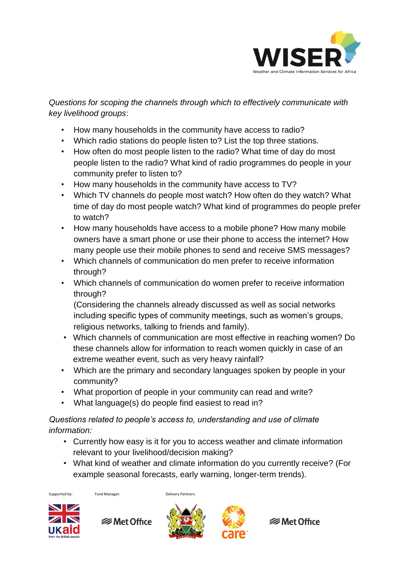

*Questions for scoping the channels through which to effectively communicate with key livelihood groups*:

- How many households in the community have access to radio?
- Which radio stations do people listen to? List the top three stations.
- How often do most people listen to the radio? What time of day do most people listen to the radio? What kind of radio programmes do people in your community prefer to listen to?
- How many households in the community have access to TV?
- Which TV channels do people most watch? How often do they watch? What time of day do most people watch? What kind of programmes do people prefer to watch?
- How many households have access to a mobile phone? How many mobile owners have a smart phone or use their phone to access the internet? How many people use their mobile phones to send and receive SMS messages?
- Which channels of communication do men prefer to receive information through?
- Which channels of communication do women prefer to receive information through?

(Considering the channels already discussed as well as social networks including specific types of community meetings, such as women's groups, religious networks, talking to friends and family).

- Which channels of communication are most effective in reaching women? Do these channels allow for information to reach women quickly in case of an extreme weather event, such as very heavy rainfall?
- Which are the primary and secondary languages spoken by people in your community?
- What proportion of people in your community can read and write?
- What language(s) do people find easiest to read in?

#### *Questions related to people's access to, understanding and use of climate information:*

- Currently how easy is it for you to access weather and climate information relevant to your livelihood/decision making?
- What kind of weather and climate information do you currently receive? (For example seasonal forecasts, early warning, longer-term trends).

Supported by: Fund Manager: Delivery Partners:



**<del></del>** Met Office



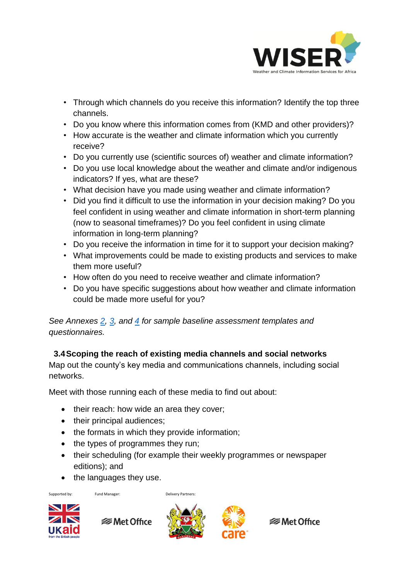

- Through which channels do you receive this information? Identify the top three channels.
- Do you know where this information comes from (KMD and other providers)?
- How accurate is the weather and climate information which you currently receive?
- Do you currently use (scientific sources of) weather and climate information?
- Do you use local knowledge about the weather and climate and/or indigenous indicators? If yes, what are these?
- What decision have you made using weather and climate information?
- Did you find it difficult to use the information in your decision making? Do you feel confident in using weather and climate information in short-term planning (now to seasonal timeframes)? Do you feel confident in using climate information in long-term planning?
- Do you receive the information in time for it to support your decision making?
- What improvements could be made to existing products and services to make them more useful?
- How often do you need to receive weather and climate information?
- Do you have specific suggestions about how weather and climate information could be made more useful for you?

*See Annexes [2,](http://www.metoffice.gov.uk/binaries/content/assets/mohippo/pdf/international/wiser/annex2_sample-needs--access-questions.pdf) [3,](http://www.metoffice.gov.uk/binaries/content/assets/mohippo/pdf/international/wiser/annex3_sample-baseline-survey.pdf) and [4](http://www.metoffice.gov.uk/binaries/content/assets/mohippo/pdf/international/wiser/annex4_sample-score-card_enabling-climate-info.pdf) for sample baseline assessment templates and questionnaires.*

#### **3.4Scoping the reach of existing media channels and social networks**

Map out the county's key media and communications channels, including social networks.

Meet with those running each of these media to find out about:

- their reach: how wide an area they cover;
- their principal audiences;
- the formats in which they provide information;
- $\bullet$  the types of programmes they run;
- their scheduling (for example their weekly programmes or newspaper editions); and
- the languages they use.

Supported by: Fund Manager: Delivery Partners:



**<del></del>** Met Office



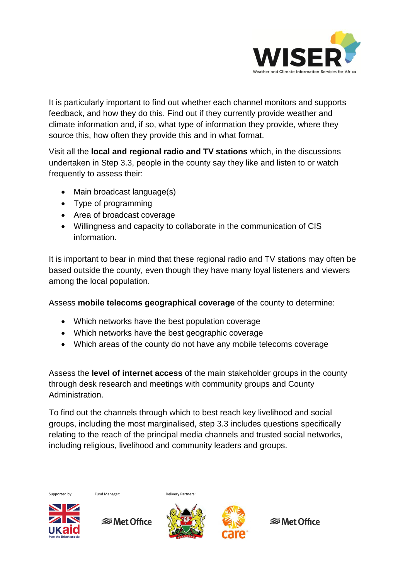

It is particularly important to find out whether each channel monitors and supports feedback, and how they do this. Find out if they currently provide weather and climate information and, if so, what type of information they provide, where they source this, how often they provide this and in what format.

Visit all the **local and regional radio and TV stations** which, in the discussions undertaken in Step 3.3, people in the county say they like and listen to or watch frequently to assess their:

- Main broadcast language(s)
- Type of programming
- Area of broadcast coverage
- Willingness and capacity to collaborate in the communication of CIS information.

It is important to bear in mind that these regional radio and TV stations may often be based outside the county, even though they have many loyal listeners and viewers among the local population.

Assess **mobile telecoms geographical coverage** of the county to determine:

- Which networks have the best population coverage
- Which networks have the best geographic coverage
- Which areas of the county do not have any mobile telecoms coverage

Assess the **level of internet access** of the main stakeholder groups in the county through desk research and meetings with community groups and County Administration.

To find out the channels through which to best reach key livelihood and social groups, including the most marginalised, step 3.3 includes questions specifically relating to the reach of the principal media channels and trusted social networks, including religious, livelihood and community leaders and groups.

Supported by: Fund Manager: Delivery Partners:



**<del></del>** Met Office

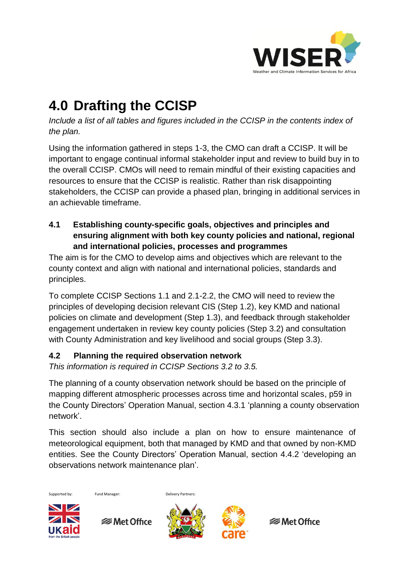

## **4.0 Drafting the CCISP**

*Include a list of all tables and figures included in the CCISP in the contents index of the plan.*

Using the information gathered in steps 1-3, the CMO can draft a CCISP. It will be important to engage continual informal stakeholder input and review to build buy in to the overall CCISP. CMOs will need to remain mindful of their existing capacities and resources to ensure that the CCISP is realistic. Rather than risk disappointing stakeholders, the CCISP can provide a phased plan, bringing in additional services in an achievable timeframe.

**4.1 Establishing county-specific goals, objectives and principles and ensuring alignment with both key county policies and national, regional and international policies, processes and programmes**

The aim is for the CMO to develop aims and objectives which are relevant to the county context and align with national and international policies, standards and principles.

To complete CCISP Sections 1.1 and 2.1-2.2, the CMO will need to review the principles of developing decision relevant CIS (Step 1.2), key KMD and national policies on climate and development (Step 1.3), and feedback through stakeholder engagement undertaken in review key county policies (Step 3.2) and consultation with County Administration and key livelihood and social groups (Step 3.3).

#### **4.2 Planning the required observation network**

*This information is required in CCISP Sections 3.2 to 3.5.*

The planning of a county observation network should be based on the principle of mapping different atmospheric processes across time and horizontal scales, p59 in the County Directors' Operation Manual, section 4.3.1 'planning a county observation network'.

This section should also include a plan on how to ensure maintenance of meteorological equipment, both that managed by KMD and that owned by non-KMD entities. See the County Directors' Operation Manual, section 4.4.2 'developing an observations network maintenance plan'.

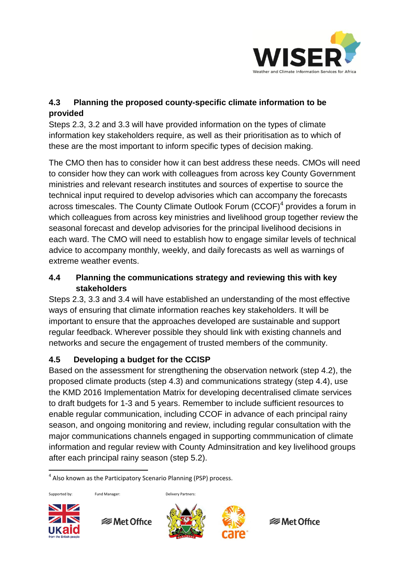

#### **4.3 Planning the proposed county-specific climate information to be provided**

Steps 2.3, 3.2 and 3.3 will have provided information on the types of climate information key stakeholders require, as well as their prioritisation as to which of these are the most important to inform specific types of decision making.

The CMO then has to consider how it can best address these needs. CMOs will need to consider how they can work with colleagues from across key County Government ministries and relevant research institutes and sources of expertise to source the technical input required to develop advisories which can accompany the forecasts across timescales. The County Climate Outlook Forum (CCOF)<sup>4</sup> provides a forum in which colleagues from across key ministries and livelihood group together review the seasonal forecast and develop advisories for the principal livelihood decisions in each ward. The CMO will need to establish how to engage similar levels of technical advice to accompany monthly, weekly, and daily forecasts as well as warnings of extreme weather events.

#### **4.4 Planning the communications strategy and reviewing this with key stakeholders**

Steps 2.3, 3.3 and 3.4 will have established an understanding of the most effective ways of ensuring that climate information reaches key stakeholders. It will be important to ensure that the approaches developed are sustainable and support regular feedback. Wherever possible they should link with existing channels and networks and secure the engagement of trusted members of the community.

#### **4.5 Developing a budget for the CCISP**

Based on the assessment for strengthening the observation network (step 4.2), the proposed climate products (step 4.3) and communications strategy (step 4.4), use the KMD 2016 Implementation Matrix for developing decentralised climate services to draft budgets for 1-3 and 5 years. Remember to include sufficient resources to enable regular communication, including CCOF in advance of each principal rainy season, and ongoing monitoring and review, including regular consultation with the major communications channels engaged in supporting commmunication of climate information and regular review with County Adminsitration and key livelihood groups after each principal rainy season (step 5.2).

 $\overline{\phantom{a}}$ 

Supported by: Fund Manager: Delivery Partners:



**<del></del>** Met Office





<sup>&</sup>lt;sup>4</sup> Also known as the Participatory Scenario Planning (PSP) process.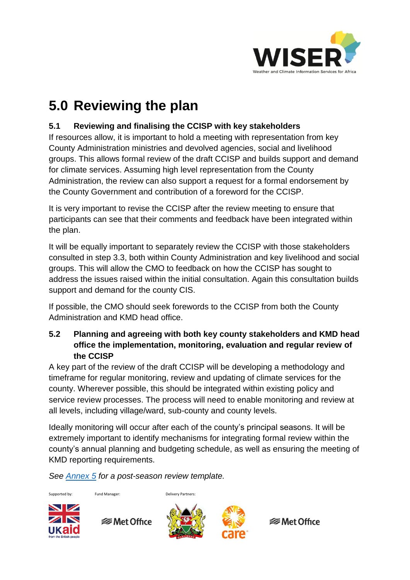

## **5.0 Reviewing the plan**

#### **5.1 Reviewing and finalising the CCISP with key stakeholders**

If resources allow, it is important to hold a meeting with representation from key County Administration ministries and devolved agencies, social and livelihood groups. This allows formal review of the draft CCISP and builds support and demand for climate services. Assuming high level representation from the County Administration, the review can also support a request for a formal endorsement by the County Government and contribution of a foreword for the CCISP.

It is very important to revise the CCISP after the review meeting to ensure that participants can see that their comments and feedback have been integrated within the plan.

It will be equally important to separately review the CCISP with those stakeholders consulted in step 3.3, both within County Administration and key livelihood and social groups. This will allow the CMO to feedback on how the CCISP has sought to address the issues raised within the initial consultation. Again this consultation builds support and demand for the county CIS.

If possible, the CMO should seek forewords to the CCISP from both the County Administration and KMD head office.

#### **5.2 Planning and agreeing with both key county stakeholders and KMD head office the implementation, monitoring, evaluation and regular review of the CCISP**

A key part of the review of the draft CCISP will be developing a methodology and timeframe for regular monitoring, review and updating of climate services for the county. Wherever possible, this should be integrated within existing policy and service review processes. The process will need to enable monitoring and review at all levels, including village/ward, sub-county and county levels.

Ideally monitoring will occur after each of the county's principal seasons. It will be extremely important to identify mechanisms for integrating formal review within the county's annual planning and budgeting schedule, as well as ensuring the meeting of KMD reporting requirements.

*See [Annex 5](http://www.metoffice.gov.uk/binaries/content/assets/mohippo/pdf/international/wiser/annex5_sample-seasonal-score-card.pdf) for a post-season review template.*